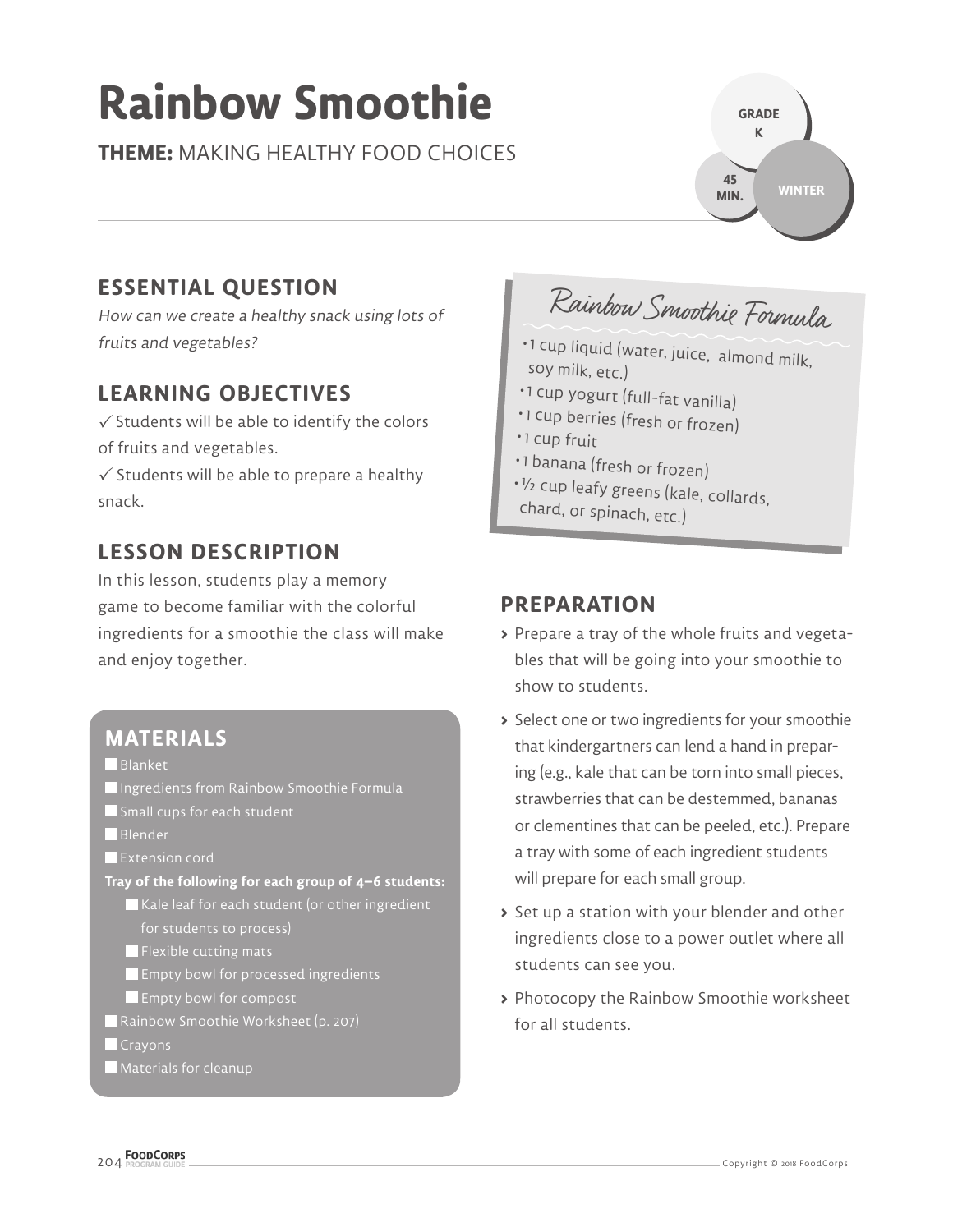# **Rainbow Smoothie**

**THEME:** MAKING HEALTHY FOOD CHOICES

# **ESSENTIAL QUESTION**

How can we create a healthy snack using lots of fruits and vegetables?

## **LEARNING OBJECTIVES**

 $\checkmark$  Students will be able to identify the colors of fruits and vegetables.

 $\checkmark$  Students will be able to prepare a healthy snack.

## **LESSON DESCRIPTION**

In this lesson, students play a memory game to become familiar with the colorful ingredients for a smoothie the class will make and enjoy together.

## **MATERIALS**

**Blanket** 

- Ingredients from Rainbow Smoothie Formula
- Small cups for each student
- Blender
- **Extension cord**
- **Tray of the following for each group of 4–6 students:**  $\blacksquare$  Kale leaf for each student (or other ingredient
	- for students to process)
	- $\blacksquare$  Flexible cutting mats
	- **Empty bowl for processed ingredients**
	- Empty bowl for compost
- Rainbow Smoothie Worksheet (p. 207)
- **Crayons**
- **Materials for cleanup**

Rainbow Smoothie Formula

**GRADE K**

**45 MIN.**

**WINTER**

- 1 cup liquid (water, juice, almond milk, soy milk, etc.)
- 1 cup yogurt (full-fat vanilla)
- 1 cup berries (fresh or frozen)
- 1 cup fruit
- 1 banana (fresh or frozen)
- <sup>½</sup> cup leafy greens (kale, collards,
- chard, or spinach, etc.)

## **PREPARATION**

- **>** Prepare a tray of the whole fruits and vegetables that will be going into your smoothie to show to students.
- **>** Select one or two ingredients for your smoothie that kindergartners can lend a hand in preparing (e.g., kale that can be torn into small pieces, strawberries that can be destemmed, bananas or clementines that can be peeled, etc.). Prepare a tray with some of each ingredient students will prepare for each small group.
- **>** Set up a station with your blender and other ingredients close to a power outlet where all students can see you.
- **>** Photocopy the Rainbow Smoothie worksheet for all students.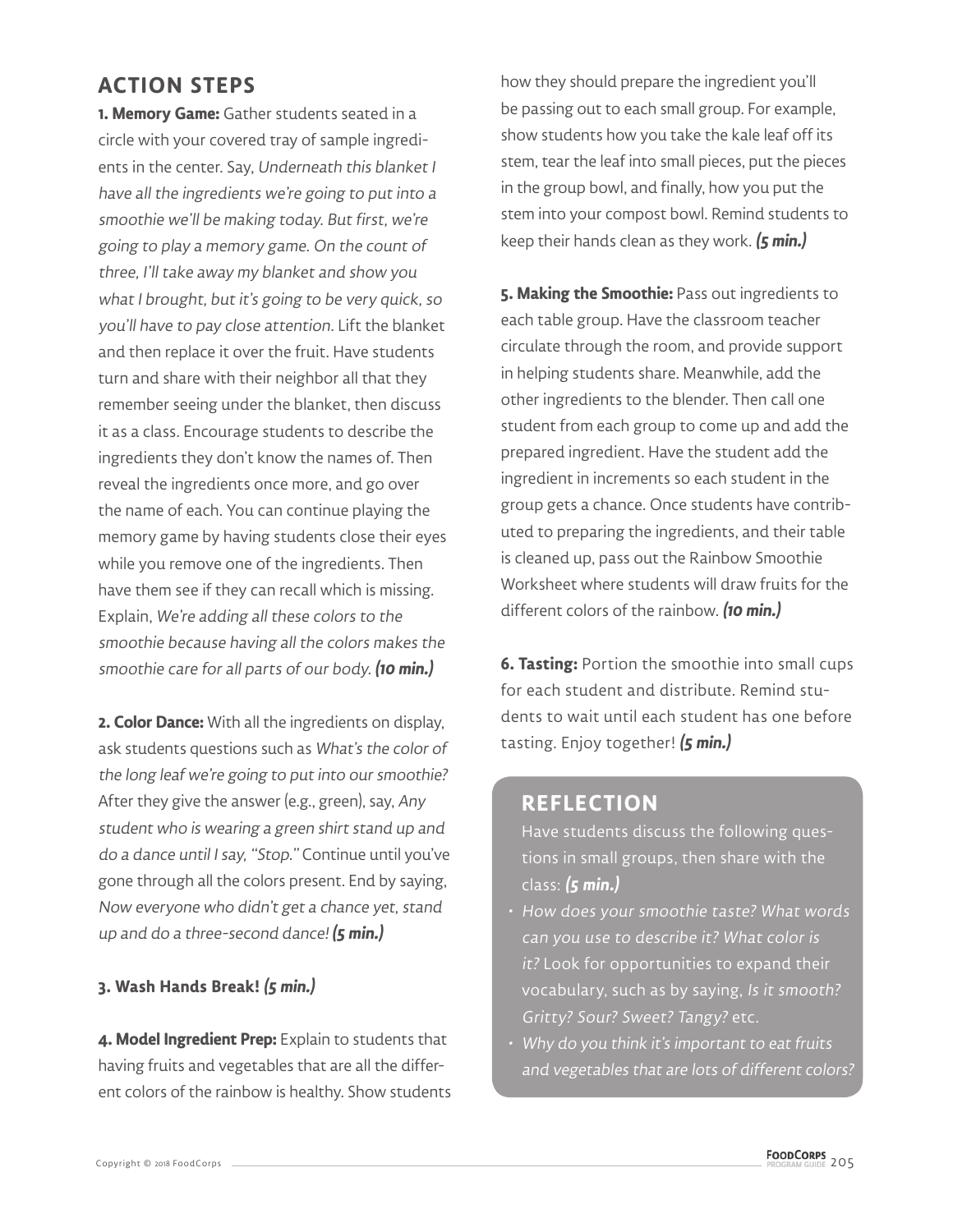## **ACTION STEPS**

**1. Memory Game:** Gather students seated in a circle with your covered tray of sample ingredients in the center. Say, Underneath this blanket I have all the ingredients we're going to put into a smoothie we'll be making today. But first, we're going to play a memory game. On the count of three, I'll take away my blanket and show you what I brought, but it's going to be very quick, so you'll have to pay close attention. Lift the blanket and then replace it over the fruit. Have students turn and share with their neighbor all that they remember seeing under the blanket, then discuss it as a class. Encourage students to describe the ingredients they don't know the names of. Then reveal the ingredients once more, and go over the name of each. You can continue playing the memory game by having students close their eyes while you remove one of the ingredients. Then have them see if they can recall which is missing. Explain, We're adding all these colors to the smoothie because having all the colors makes the smoothie care for all parts of our body. **(10 min.)**

**2. Color Dance:** With all the ingredients on display, ask students questions such as What's the color of the long leaf we're going to put into our smoothie? After they give the answer (e.g., green), say, Any student who is wearing a green shirt stand up and do a dance until I say, "Stop." Continue until you've gone through all the colors present. End by saying, Now everyone who didn't get a chance yet, stand up and do a three-second dance! **(5 min.)**

#### **3. Wash Hands Break! (5 min.)**

**4. Model Ingredient Prep:** Explain to students that having fruits and vegetables that are all the different colors of the rainbow is healthy. Show students how they should prepare the ingredient you'll be passing out to each small group. For example, show students how you take the kale leaf off its stem, tear the leaf into small pieces, put the pieces in the group bowl, and finally, how you put the stem into your compost bowl. Remind students to keep their hands clean as they work. **(5 min.)**

**5. Making the Smoothie:** Pass out ingredients to each table group. Have the classroom teacher circulate through the room, and provide support in helping students share. Meanwhile, add the other ingredients to the blender. Then call one student from each group to come up and add the prepared ingredient. Have the student add the ingredient in increments so each student in the group gets a chance. Once students have contributed to preparing the ingredients, and their table is cleaned up, pass out the Rainbow Smoothie Worksheet where students will draw fruits for the different colors of the rainbow. **(10 min.)**

**6. Tasting:** Portion the smoothie into small cups for each student and distribute. Remind students to wait until each student has one before tasting. Enjoy together! **(5 min.)**

### **REFLECTION**

Have students discuss the following questions in small groups, then share with the class: **(5 min.)**

- How does your smoothie taste? What words can you use to describe it? What color is it? Look for opportunities to expand their vocabulary, such as by saying, Is it smooth? Gritty? Sour? Sweet? Tangy? etc.
- Why do you think it's important to eat fruits and vegetables that are lots of different colors?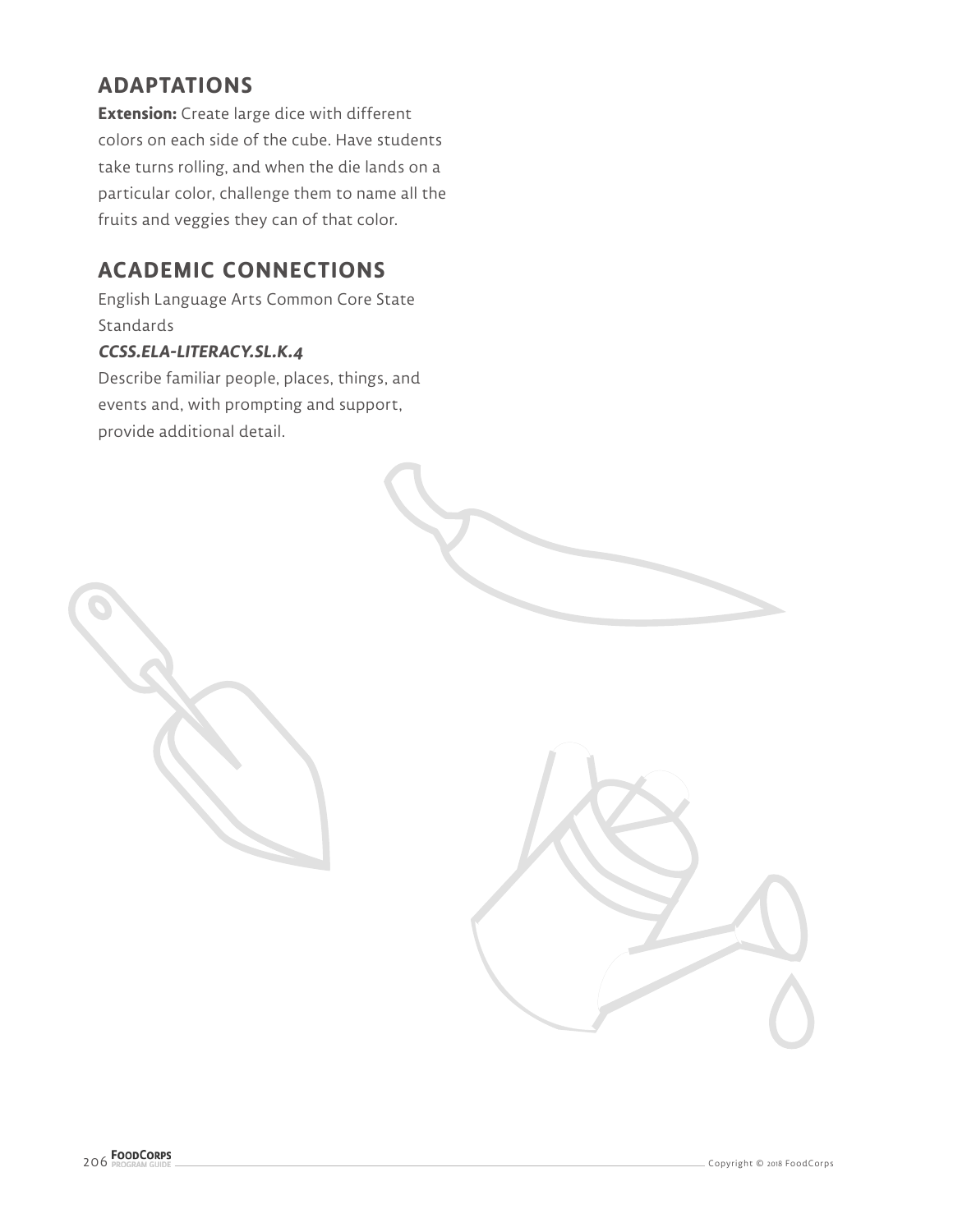## **ADAPTATIONS**

**Extension:** Create large dice with different colors on each side of the cube. Have students take turns rolling, and when the die lands on a particular color, challenge them to name all the fruits and veggies they can of that color.

## **ACADEMIC CONNECTIONS**

English Language Arts Common Core State **Standards** 

#### **CCSS.ELA-LITERACY.SL.K.4**

Describe familiar people, places, things, and events and, with prompting and support, provide additional detail.